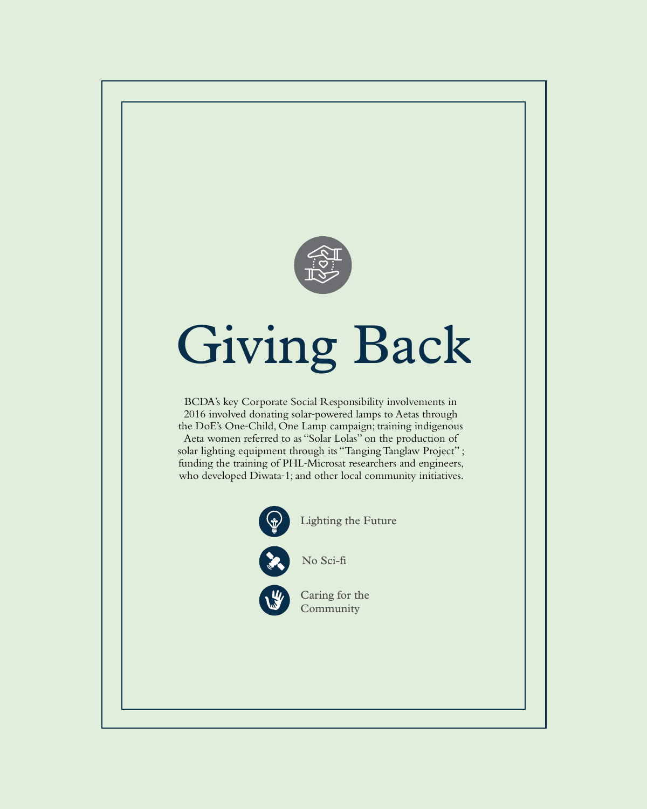

# Giving Back

BCDA's key Corporate Social Responsibility involvements in 2016 involved donating solar-powered lamps to Aetas through the DoE's One-Child, One Lamp campaign; training indigenous Aeta women referred to as "Solar Lolas" on the production of solar lighting equipment through its "Tanging Tanglaw Project" ; funding the training of PHL-Microsat researchers and engineers, who developed Diwata-1; and other local community initiatives.



Lighting the Future





Caring for the Community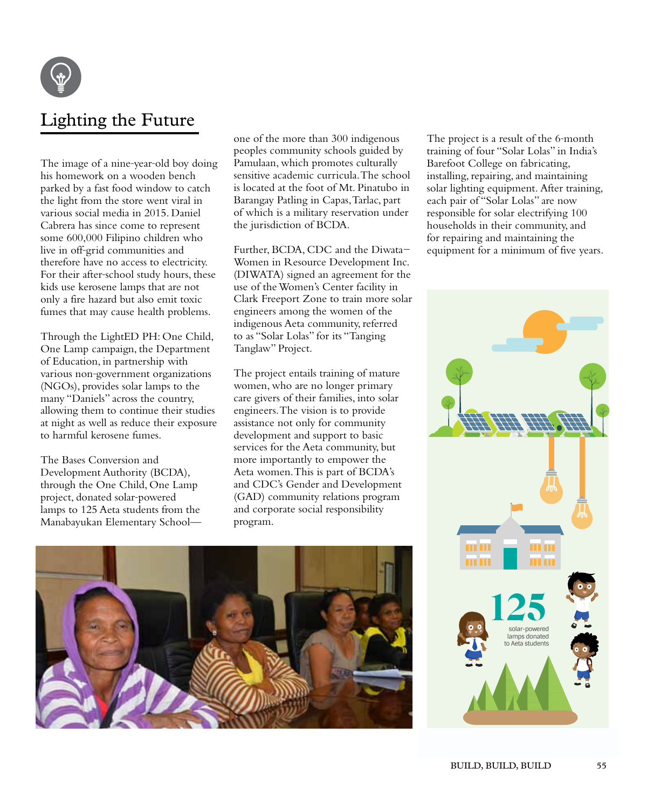

# Lighting the Future

The image of a nine-year-old boy doing his homework on a wooden bench parked by a fast food window to catch the light from the store went viral in various social media in 2015. Daniel Cabrera has since come to represent some 600,000 Filipino children who live in off-grid communities and therefore have no access to electricity. For their after-school study hours, these kids use kerosene lamps that are not only a fire hazard but also emit toxic fumes that may cause health problems.

Through the LightED PH: One Child, One Lamp campaign, the Department of Education, in partnership with various non-government organizations (NGOs), provides solar lamps to the many "Daniels" across the country, allowing them to continue their studies at night as well as reduce their exposure to harmful kerosene fumes.

The Bases Conversion and Development Authority (BCDA), through the One Child, One Lamp project, donated solar-powered lamps to 125 Aeta students from the Manabayukan Elementary Schoolone of the more than 300 indigenous peoples community schools guided by Pamulaan, which promotes culturally sensitive academic curricula. The school is located at the foot of Mt. Pinatubo in Barangay Patling in Capas, Tarlac, part of which is a military reservation under the jurisdiction of BCDA.

Further, BCDA, CDC and the Diwata-Women in Resource Development Inc. (DIWATA) signed an agreement for the use of the Women's Center facility in Clark Freeport Zone to train more solar engineers among the women of the indigenous Aeta community, referred to as "Solar Lolas" for its "Tanging Tanglaw" Project.

The project entails training of mature women, who are no longer primary care givers of their families, into solar engineers. The vision is to provide assistance not only for community development and support to basic services for the Aeta community, but more importantly to empower the Aeta women. This is part of BCDA's and CDC's Gender and Development (GAD) community relations program and corporate social responsibility program.



The project is a result of the 6-month training of four "Solar Lolas" in India's Barefoot College on fabricating, installing, repairing, and maintaining solar lighting equipment. After training, each pair of "Solar Lolas" are now responsible for solar electrifying 100 households in their community, and for repairing and maintaining the equipment for a minimum of five years.

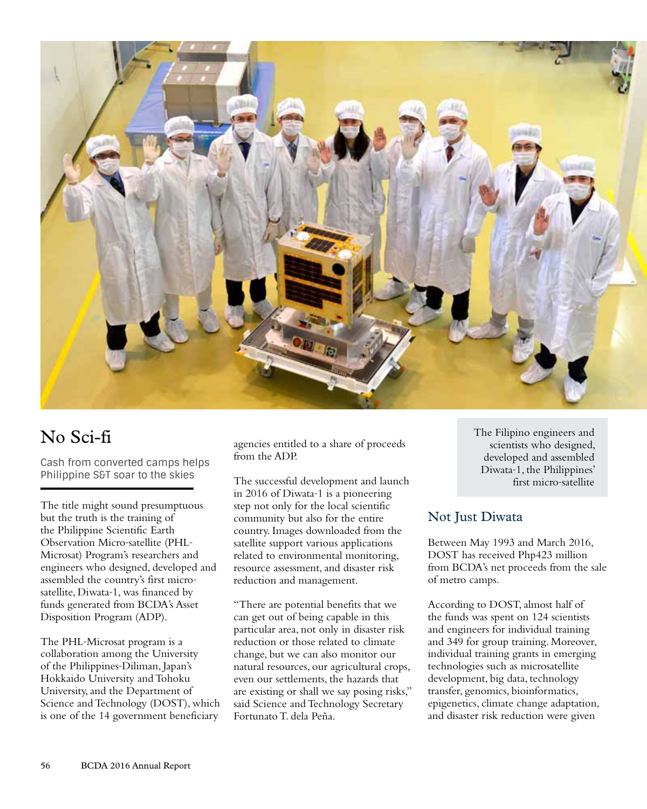

# No Sci-fi

Cash from converted camps helps Philippine S&T soar to the skies

The title might sound presumptuous but the truth is the training of the Philippine Scientific Earth Observation Micro-satellite (PHL-Microsat) Program's researchers and engineers who designed, developed and assembled the country's first microsatellite, Diwata-1, was financed by funds generated from BCDA's Asset Disposition Program (ADP).

The PHL-Microsat program is a collaboration among the University of the Philippines-Diliman, Japan's Hokkaido University and Tohoku University, and the Department of Science and Technology (DOST), which is one of the 14 government beneficiary

agencies entitled to a share of proceeds from the ADP.

The successful development and launch in 2016 of Diwata-1 is a pioneering step not only for the local scientific community but also for the entire country. Images downloaded from the satellite support various applications related to environmental monitoring, resource assessment, and disaster risk reduction and management.

"There are potential benefits that we can get out of being capable in this particular area, not only in disaster risk reduction or those related to climate change, but we can also monitor our natural resources, our agricultural crops, even our settlements, the hazards that are existing or shall we say posing risks," said Science and Technology Secretary Fortunato T. dela Peña.

The Filipino engineers and scientists who designed, developed and assembled Diwata-1, the Philippines' first micro-satellite

## Not Just Diwata

Between May 1993 and March 2016, DOST has received Php423 million from BCDA's net proceeds from the sale of metro camps.

According to DOST, almost half of the funds was spent on 124 scientists and engineers for individual training and 349 for group training. Moreover, individual training grants in emerging technologies such as microsatellite development, big data, technology transfer, genomics, bioinformatics, epigenetics, climate change adaptation, and disaster risk reduction were given